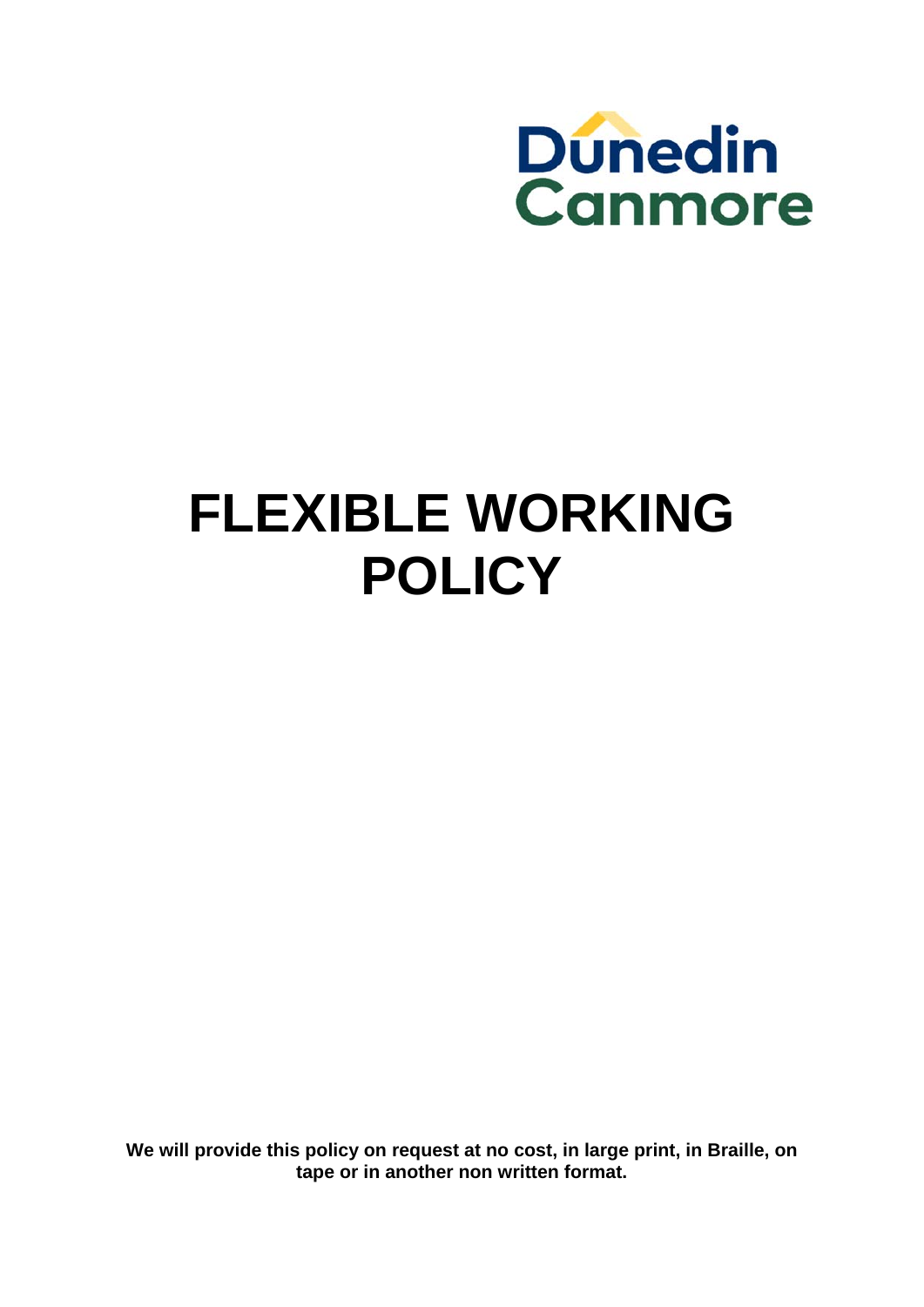

# **FLEXIBLE WORKING POLICY**

**We will provide this policy on request at no cost, in large print, in Braille, on tape or in another non written format.**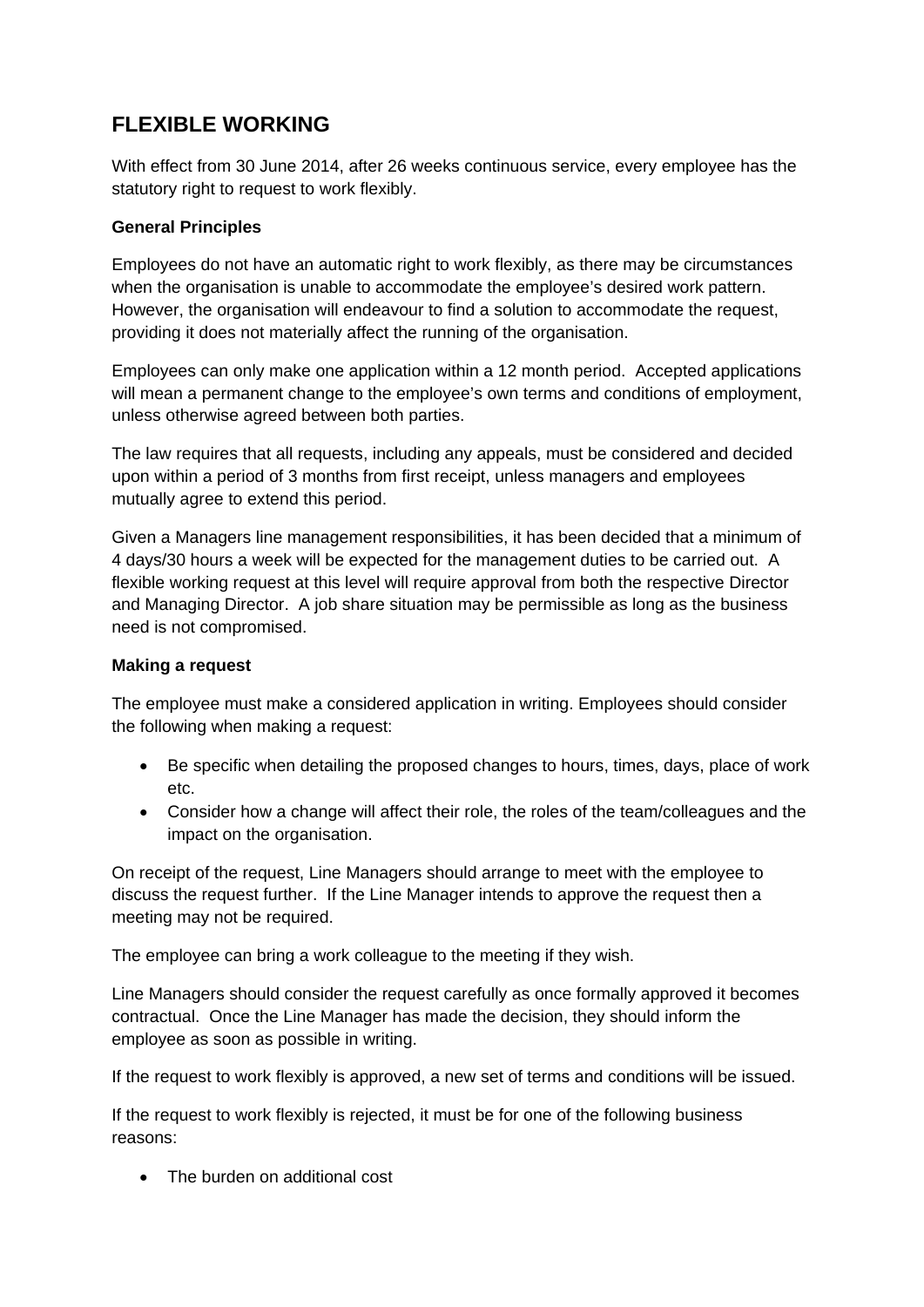# **FLEXIBLE WORKING**

With effect from 30 June 2014, after 26 weeks continuous service, every employee has the statutory right to request to work flexibly.

## **General Principles**

Employees do not have an automatic right to work flexibly, as there may be circumstances when the organisation is unable to accommodate the employee's desired work pattern. However, the organisation will endeavour to find a solution to accommodate the request, providing it does not materially affect the running of the organisation.

Employees can only make one application within a 12 month period. Accepted applications will mean a permanent change to the employee's own terms and conditions of employment, unless otherwise agreed between both parties.

The law requires that all requests, including any appeals, must be considered and decided upon within a period of 3 months from first receipt, unless managers and employees mutually agree to extend this period.

Given a Managers line management responsibilities, it has been decided that a minimum of 4 days/30 hours a week will be expected for the management duties to be carried out. A flexible working request at this level will require approval from both the respective Director and Managing Director. A job share situation may be permissible as long as the business need is not compromised.

## **Making a request**

The employee must make a considered application in writing. Employees should consider the following when making a request:

- Be specific when detailing the proposed changes to hours, times, days, place of work etc.
- Consider how a change will affect their role, the roles of the team/colleagues and the impact on the organisation.

On receipt of the request, Line Managers should arrange to meet with the employee to discuss the request further. If the Line Manager intends to approve the request then a meeting may not be required.

The employee can bring a work colleague to the meeting if they wish.

Line Managers should consider the request carefully as once formally approved it becomes contractual. Once the Line Manager has made the decision, they should inform the employee as soon as possible in writing.

If the request to work flexibly is approved, a new set of terms and conditions will be issued.

If the request to work flexibly is rejected, it must be for one of the following business reasons:

• The burden on additional cost